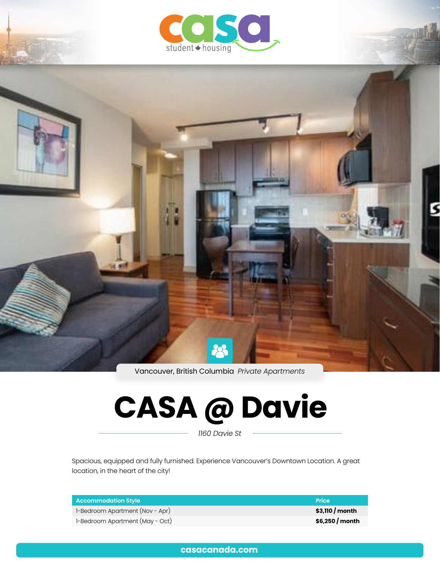



Vancouver, British Columbia *Private Apartments*



Spacious, equipped and fully furnished. Experience Vancouver's Downtown Location. A great location, in the heart of the city!

| <b>Accommodation Style</b>      | <b>Price</b>     |
|---------------------------------|------------------|
| 1-Bedroom Apartment (Nov - Apr) | $$3,110$ / month |
| 1-Bedroom Apartment (May - Oct) | $$6,250$ / month |
|                                 |                  |

**[casacanada.com](https://casacanada.com/)**